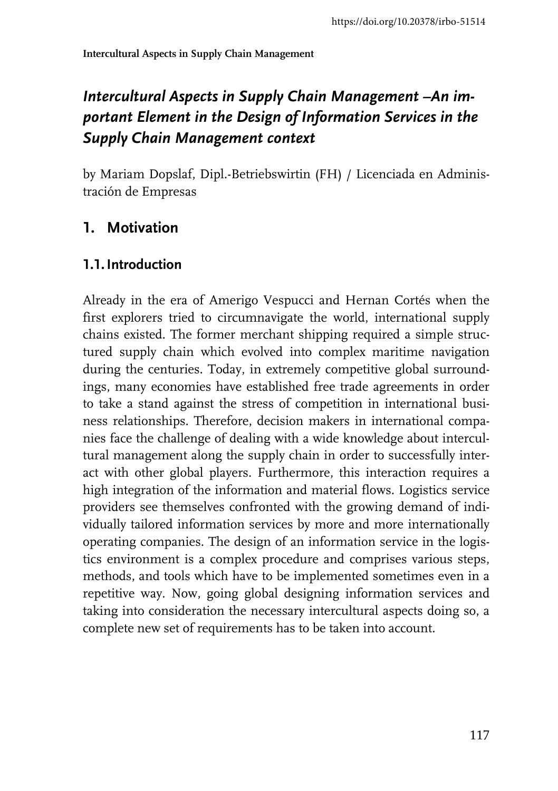# Intercultural Aspects in Supply Chain Management -An im*portant Element in the Design of Information Services in the Supply Chain Management context*

by Mariam Dopslaf, Dipl.-Betriebswirtin (FH) / Licenciada en Administración de Empresas

### **1. Motivation**

#### **1.1.Introduction**

Already in the era of Amerigo Vespucci and Hernan Cortés when the first explorers tried to circumnavigate the world, international supply chains existed. The former merchant shipping required a simple structured supply chain which evolved into complex maritime navigation during the centuries. Today, in extremely competitive global surroundings, many economies have established free trade agreements in order to take a stand against the stress of competition in international business relationships. Therefore, decision makers in international companies face the challenge of dealing with a wide knowledge about intercultural management along the supply chain in order to successfully interact with other global players. Furthermore, this interaction requires a high integration of the information and material flows. Logistics service providers see themselves confronted with the growing demand of individually tailored information services by more and more internationally operating companies. The design of an information service in the logistics environment is a complex procedure and comprises various steps, methods, and tools which have to be implemented sometimes even in a repetitive way. Now, going global designing information services and taking into consideration the necessary intercultural aspects doing so, a complete new set of requirements has to be taken into account.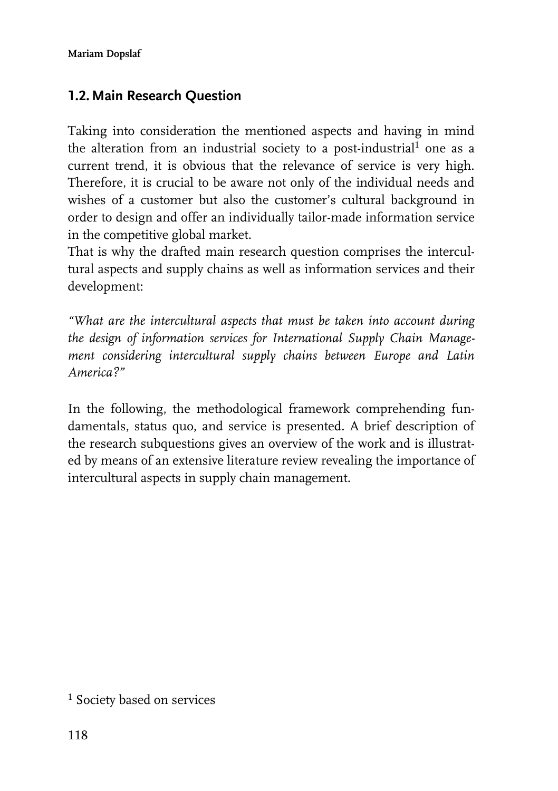#### **1.2.Main Research Question**

Taking into consideration the mentioned aspects and having in mind the alteration from an industrial society to a post-industrial $^1$  one as a current trend, it is obvious that the relevance of service is very high. Therefore, it is crucial to be aware not only of the individual needs and wishes of a customer but also the customer's cultural background in order to design and offer an individually tailor-made information service in the competitive global market.

That is why the drafted main research question comprises the intercultural aspects and supply chains as well as information services and their development:

*"What are the intercultural aspects that must be taken into account during the design of information services for International Supply Chain Management considering intercultural supply chains between Europe and Latin America?"*

In the following, the methodological framework comprehending fundamentals, status quo, and service is presented. A brief description of the research subquestions gives an overview of the work and is illustrated by means of an extensive literature review revealing the importance of intercultural aspects in supply chain management.

1 Society based on services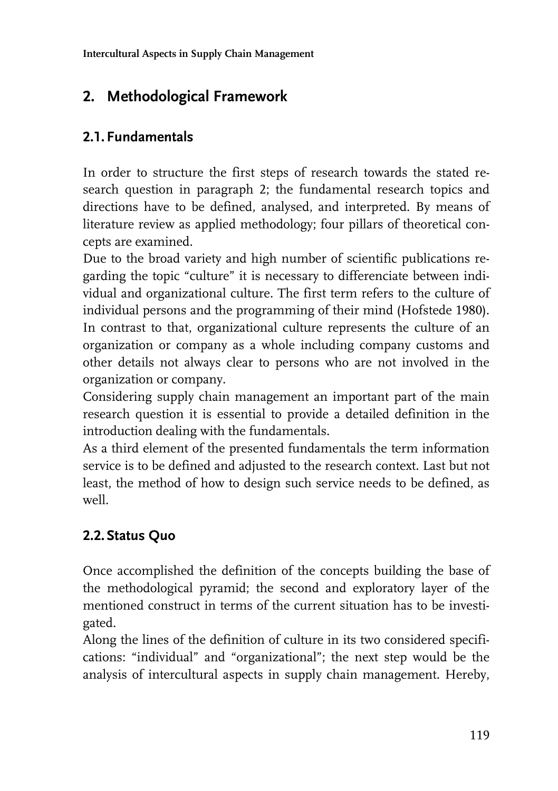# **2. Methodological Framework**

## **2.1. Fundamentals**

In order to structure the first steps of research towards the stated research question in paragraph 2; the fundamental research topics and directions have to be defined, analysed, and interpreted. By means of literature review as applied methodology; four pillars of theoretical concepts are examined.

Due to the broad variety and high number of scientific publications regarding the topic "culture" it is necessary to differenciate between individual and organizational culture. The first term refers to the culture of individual persons and the programming of their mind (Hofstede 1980). In contrast to that, organizational culture represents the culture of an organization or company as a whole including company customs and other details not always clear to persons who are not involved in the organization or company.

Considering supply chain management an important part of the main research question it is essential to provide a detailed definition in the introduction dealing with the fundamentals.

As a third element of the presented fundamentals the term information service is to be defined and adjusted to the research context. Last but not least, the method of how to design such service needs to be defined, as well.

## **2.2. Status Quo**

Once accomplished the definition of the concepts building the base of the methodological pyramid; the second and exploratory layer of the mentioned construct in terms of the current situation has to be investigated.

Along the lines of the definition of culture in its two considered specifications: "individual" and "organizational"; the next step would be the analysis of intercultural aspects in supply chain management. Hereby,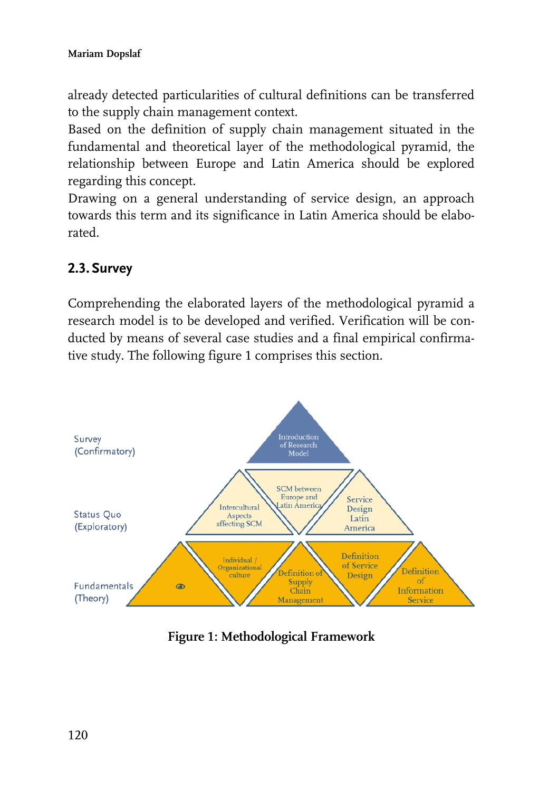already detected particularities of cultural definitions can be transferred to the supply chain management context.

Based on the definition of supply chain management situated in the fundamental and theoretical layer of the methodological pyramid, the relationship between Europe and Latin America should be explored regarding this concept.

Drawing on a general understanding of service design, an approach towards this term and its significance in Latin America should be elaborated.

### **2.3. Survey**

Comprehending the elaborated layers of the methodological pyramid a research model is to be developed and verified. Verification will be conducted by means of several case studies and a final empirical confirmative study. The following figure 1 comprises this section.



**Figure 1: Methodological Framework**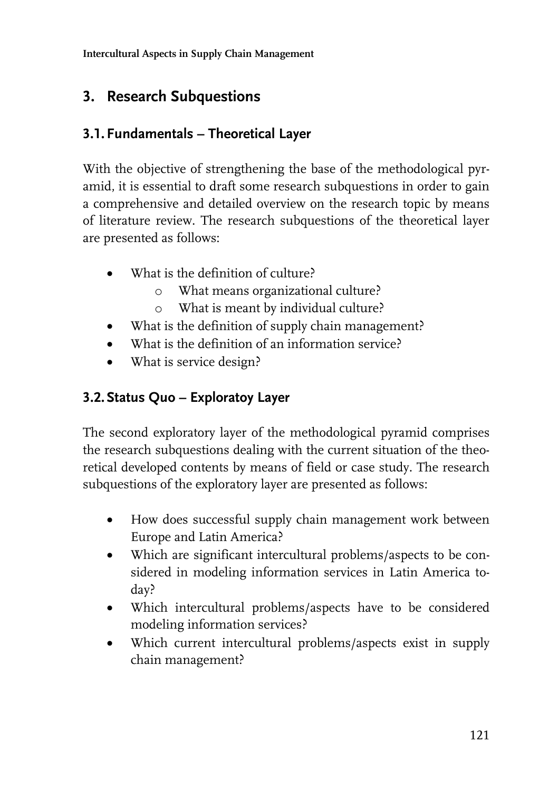**Intercultural Aspects in Supply Chain Management** 

## **3. Research Subquestions**

#### **3.1. Fundamentals – Theoretical Layer**

With the objective of strengthening the base of the methodological pyramid, it is essential to draft some research subquestions in order to gain a comprehensive and detailed overview on the research topic by means of literature review. The research subquestions of the theoretical layer are presented as follows:

- What is the definition of culture?
	- o What means organizational culture?
	- o What is meant by individual culture?
- What is the definition of supply chain management?
- What is the definition of an information service?
- What is service design?

## **3.2. Status Quo – Exploratoy Layer**

The second exploratory layer of the methodological pyramid comprises the research subquestions dealing with the current situation of the theoretical developed contents by means of field or case study. The research subquestions of the exploratory layer are presented as follows:

- How does successful supply chain management work between Europe and Latin America?
- Which are significant intercultural problems/aspects to be considered in modeling information services in Latin America today?
- Which intercultural problems/aspects have to be considered modeling information services?
- Which current intercultural problems/aspects exist in supply chain management?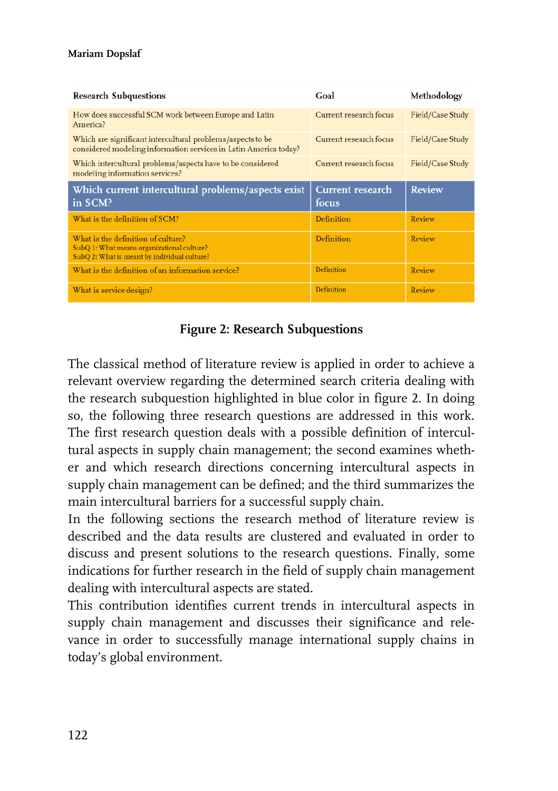#### **Mariam Dopslaf**

| <b>Research Subquestions</b>                                                                                                     | Goal                   | Methodology      |
|----------------------------------------------------------------------------------------------------------------------------------|------------------------|------------------|
| How does successful SCM work between Europe and Latin<br>America?                                                                | Current research focus | Field/Case Study |
| Which are significant intercultural problems/aspects to be<br>considered modeling information services in Latin America today?   | Current research focus | Field/Case Study |
| Which intercultural problems/aspects have to be considered<br>modeling information services?                                     | Current research focus | Field/Case Study |
| Which current intercultural problems/aspects exist                                                                               | Current research       | <b>Review</b>    |
| in SCM?                                                                                                                          | focus                  |                  |
| What is the definition of SCM?                                                                                                   | Definition             | Review           |
| What is the definition of culture?<br>SubQ 1: What means organizational culture?<br>SubQ 2: What is meant by individual culture? | Definition             | Review           |
| What is the definition of an information service?                                                                                | <b>Definition</b>      | Review           |

#### **Figure 2: Research Subquestions**

The classical method of literature review is applied in order to achieve a relevant overview regarding the determined search criteria dealing with the research subquestion highlighted in blue color in figure 2. In doing so, the following three research questions are addressed in this work. The first research question deals with a possible definition of intercultural aspects in supply chain management; the second examines whether and which research directions concerning intercultural aspects in supply chain management can be defined; and the third summarizes the main intercultural barriers for a successful supply chain.

In the following sections the research method of literature review is described and the data results are clustered and evaluated in order to discuss and present solutions to the research questions. Finally, some indications for further research in the field of supply chain management dealing with intercultural aspects are stated.

This contribution identifies current trends in intercultural aspects in supply chain management and discusses their significance and relevance in order to successfully manage international supply chains in today's global environment.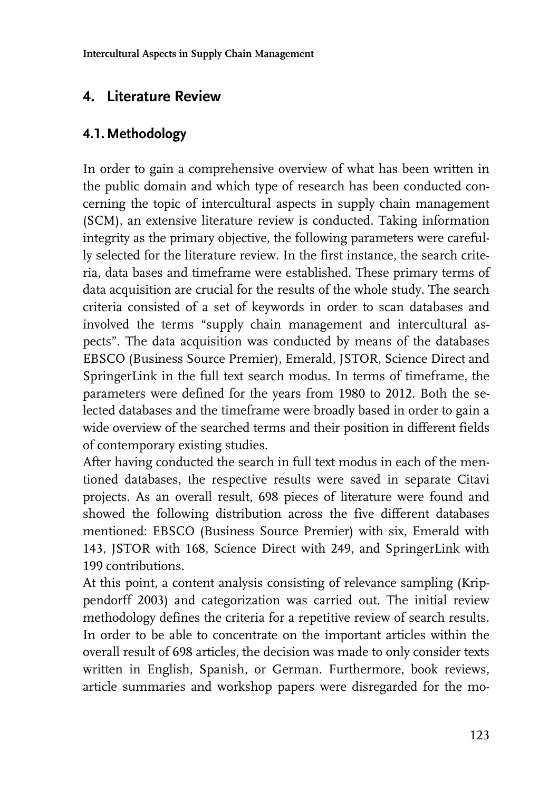## **4. Literature Review**

#### **4.1.Methodology**

In order to gain a comprehensive overview of what has been written in the public domain and which type of research has been conducted concerning the topic of intercultural aspects in supply chain management (SCM), an extensive literature review is conducted. Taking information integrity as the primary objective, the following parameters were carefully selected for the literature review. In the first instance, the search criteria, data bases and timeframe were established. These primary terms of data acquisition are crucial for the results of the whole study. The search criteria consisted of a set of keywords in order to scan databases and involved the terms "supply chain management and intercultural aspects". The data acquisition was conducted by means of the databases EBSCO (Business Source Premier), Emerald, JSTOR, Science Direct and SpringerLink in the full text search modus. In terms of timeframe, the parameters were defined for the years from 1980 to 2012. Both the selected databases and the timeframe were broadly based in order to gain a wide overview of the searched terms and their position in different fields of contemporary existing studies.

After having conducted the search in full text modus in each of the mentioned databases, the respective results were saved in separate Citavi projects. As an overall result, 698 pieces of literature were found and showed the following distribution across the five different databases mentioned: EBSCO (Business Source Premier) with six, Emerald with 143, JSTOR with 168, Science Direct with 249, and SpringerLink with 199 contributions.

At this point, a content analysis consisting of relevance sampling (Krippendorff 2003) and categorization was carried out. The initial review methodology defines the criteria for a repetitive review of search results. In order to be able to concentrate on the important articles within the overall result of 698 articles, the decision was made to only consider texts written in English, Spanish, or German. Furthermore, book reviews, article summaries and workshop papers were disregarded for the mo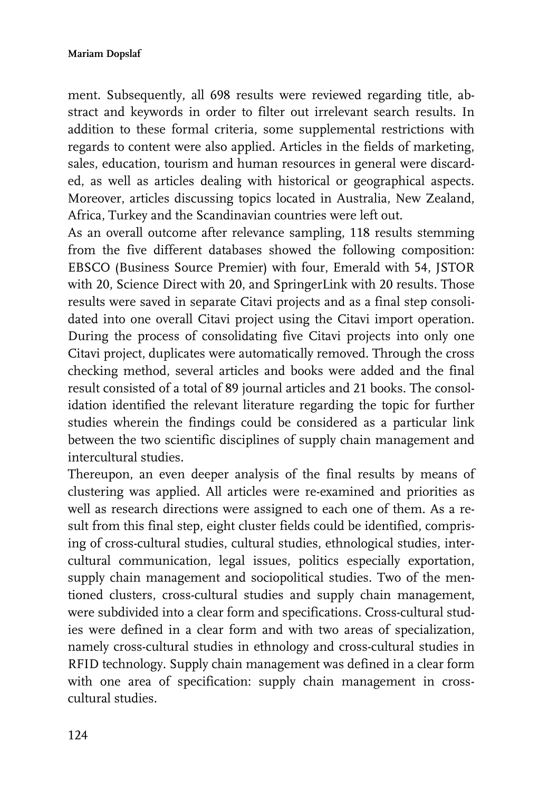ment. Subsequently, all 698 results were reviewed regarding title, abstract and keywords in order to filter out irrelevant search results. In addition to these formal criteria, some supplemental restrictions with regards to content were also applied. Articles in the fields of marketing, sales, education, tourism and human resources in general were discarded, as well as articles dealing with historical or geographical aspects. Moreover, articles discussing topics located in Australia, New Zealand, Africa, Turkey and the Scandinavian countries were left out.

As an overall outcome after relevance sampling, 118 results stemming from the five different databases showed the following composition: EBSCO (Business Source Premier) with four, Emerald with 54, JSTOR with 20, Science Direct with 20, and SpringerLink with 20 results. Those results were saved in separate Citavi projects and as a final step consolidated into one overall Citavi project using the Citavi import operation. During the process of consolidating five Citavi projects into only one Citavi project, duplicates were automatically removed. Through the cross checking method, several articles and books were added and the final result consisted of a total of 89 journal articles and 21 books. The consolidation identified the relevant literature regarding the topic for further studies wherein the findings could be considered as a particular link between the two scientific disciplines of supply chain management and intercultural studies.

Thereupon, an even deeper analysis of the final results by means of clustering was applied. All articles were re-examined and priorities as well as research directions were assigned to each one of them. As a result from this final step, eight cluster fields could be identified, comprising of cross-cultural studies, cultural studies, ethnological studies, intercultural communication, legal issues, politics especially exportation, supply chain management and sociopolitical studies. Two of the mentioned clusters, cross-cultural studies and supply chain management, were subdivided into a clear form and specifications. Cross-cultural studies were defined in a clear form and with two areas of specialization, namely cross-cultural studies in ethnology and cross-cultural studies in RFID technology. Supply chain management was defined in a clear form with one area of specification: supply chain management in crosscultural studies.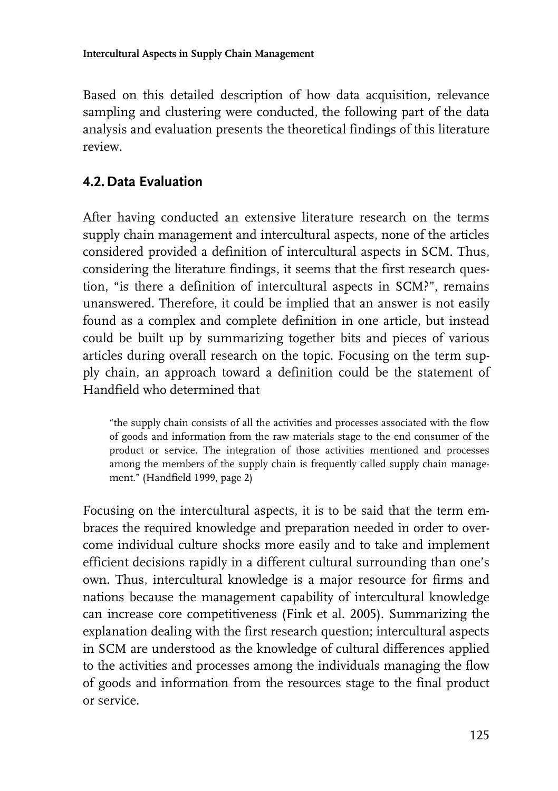Based on this detailed description of how data acquisition, relevance sampling and clustering were conducted, the following part of the data analysis and evaluation presents the theoretical findings of this literature review.

### **4.2. Data Evaluation**

After having conducted an extensive literature research on the terms supply chain management and intercultural aspects, none of the articles considered provided a definition of intercultural aspects in SCM. Thus, considering the literature findings, it seems that the first research question, "is there a definition of intercultural aspects in SCM?", remains unanswered. Therefore, it could be implied that an answer is not easily found as a complex and complete definition in one article, but instead could be built up by summarizing together bits and pieces of various articles during overall research on the topic. Focusing on the term supply chain, an approach toward a definition could be the statement of Handfield who determined that

"the supply chain consists of all the activities and processes associated with the flow of goods and information from the raw materials stage to the end consumer of the product or service. The integration of those activities mentioned and processes among the members of the supply chain is frequently called supply chain management." (Handfield 1999, page 2)

Focusing on the intercultural aspects, it is to be said that the term embraces the required knowledge and preparation needed in order to overcome individual culture shocks more easily and to take and implement efficient decisions rapidly in a different cultural surrounding than one's own. Thus, intercultural knowledge is a major resource for firms and nations because the management capability of intercultural knowledge can increase core competitiveness (Fink et al. 2005). Summarizing the explanation dealing with the first research question; intercultural aspects in SCM are understood as the knowledge of cultural differences applied to the activities and processes among the individuals managing the flow of goods and information from the resources stage to the final product or service.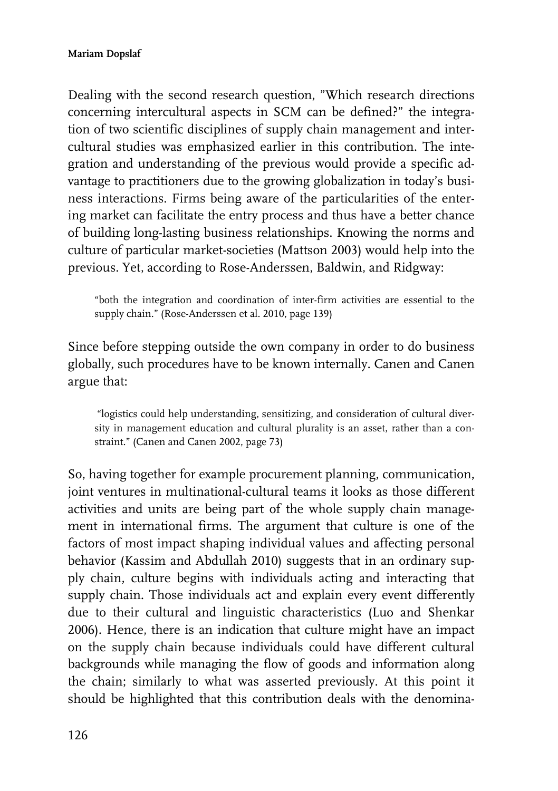Dealing with the second research question, "Which research directions concerning intercultural aspects in SCM can be defined?" the integration of two scientific disciplines of supply chain management and intercultural studies was emphasized earlier in this contribution. The integration and understanding of the previous would provide a specific advantage to practitioners due to the growing globalization in today's business interactions. Firms being aware of the particularities of the entering market can facilitate the entry process and thus have a better chance of building long-lasting business relationships. Knowing the norms and culture of particular market-societies (Mattson 2003) would help into the previous. Yet, according to Rose-Anderssen, Baldwin, and Ridgway:

"both the integration and coordination of inter-firm activities are essential to the supply chain." (Rose-Anderssen et al. 2010, page 139)

Since before stepping outside the own company in order to do business globally, such procedures have to be known internally. Canen and Canen argue that:

"logistics could help understanding, sensitizing, and consideration of cultural diversity in management education and cultural plurality is an asset, rather than a constraint." (Canen and Canen 2002, page 73)

So, having together for example procurement planning, communication, joint ventures in multinational-cultural teams it looks as those different activities and units are being part of the whole supply chain management in international firms. The argument that culture is one of the factors of most impact shaping individual values and affecting personal behavior (Kassim and Abdullah 2010) suggests that in an ordinary supply chain, culture begins with individuals acting and interacting that supply chain. Those individuals act and explain every event differently due to their cultural and linguistic characteristics (Luo and Shenkar 2006). Hence, there is an indication that culture might have an impact on the supply chain because individuals could have different cultural backgrounds while managing the flow of goods and information along the chain; similarly to what was asserted previously. At this point it should be highlighted that this contribution deals with the denomina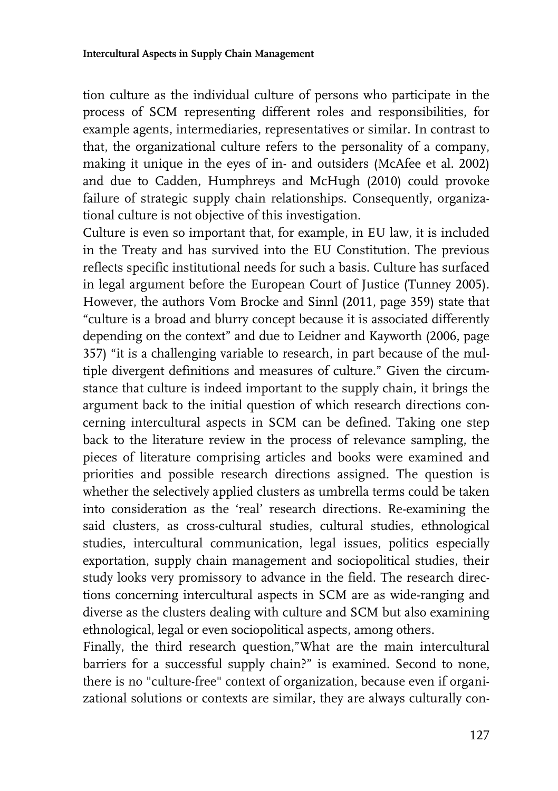tion culture as the individual culture of persons who participate in the process of SCM representing different roles and responsibilities, for example agents, intermediaries, representatives or similar. In contrast to that, the organizational culture refers to the personality of a company, making it unique in the eyes of in- and outsiders (McAfee et al. 2002) and due to Cadden, Humphreys and McHugh (2010) could provoke failure of strategic supply chain relationships. Consequently, organizational culture is not objective of this investigation.

Culture is even so important that, for example, in EU law, it is included in the Treaty and has survived into the EU Constitution. The previous reflects specific institutional needs for such a basis. Culture has surfaced in legal argument before the European Court of Justice (Tunney 2005). However, the authors Vom Brocke and Sinnl (2011, page 359) state that "culture is a broad and blurry concept because it is associated differently depending on the context" and due to Leidner and Kayworth (2006, page 357) "it is a challenging variable to research, in part because of the multiple divergent definitions and measures of culture." Given the circumstance that culture is indeed important to the supply chain, it brings the argument back to the initial question of which research directions concerning intercultural aspects in SCM can be defined. Taking one step back to the literature review in the process of relevance sampling, the pieces of literature comprising articles and books were examined and priorities and possible research directions assigned. The question is whether the selectively applied clusters as umbrella terms could be taken into consideration as the 'real' research directions. Re-examining the said clusters, as cross-cultural studies, cultural studies, ethnological studies, intercultural communication, legal issues, politics especially exportation, supply chain management and sociopolitical studies, their study looks very promissory to advance in the field. The research directions concerning intercultural aspects in SCM are as wide-ranging and diverse as the clusters dealing with culture and SCM but also examining ethnological, legal or even sociopolitical aspects, among others.

Finally, the third research question,"What are the main intercultural barriers for a successful supply chain?" is examined. Second to none, there is no "culture-free" context of organization, because even if organizational solutions or contexts are similar, they are always culturally con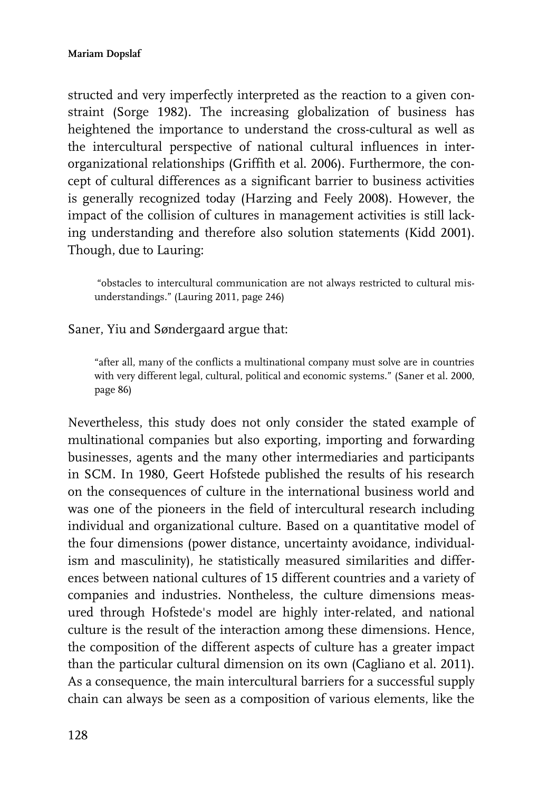structed and very imperfectly interpreted as the reaction to a given constraint (Sorge 1982). The increasing globalization of business has heightened the importance to understand the cross-cultural as well as the intercultural perspective of national cultural influences in interorganizational relationships (Griffith et al. 2006). Furthermore, the concept of cultural differences as a significant barrier to business activities is generally recognized today (Harzing and Feely 2008). However, the impact of the collision of cultures in management activities is still lacking understanding and therefore also solution statements (Kidd 2001). Though, due to Lauring:

"obstacles to intercultural communication are not always restricted to cultural misunderstandings." (Lauring 2011, page 246)

Saner, Yiu and Søndergaard argue that:

"after all, many of the conflicts a multinational company must solve are in countries with very different legal, cultural, political and economic systems." (Saner et al. 2000, page 86)

Nevertheless, this study does not only consider the stated example of multinational companies but also exporting, importing and forwarding businesses, agents and the many other intermediaries and participants in SCM. In 1980, Geert Hofstede published the results of his research on the consequences of culture in the international business world and was one of the pioneers in the field of intercultural research including individual and organizational culture. Based on a quantitative model of the four dimensions (power distance, uncertainty avoidance, individualism and masculinity), he statistically measured similarities and differences between national cultures of 15 different countries and a variety of companies and industries. Nontheless, the culture dimensions measured through Hofstede's model are highly inter-related, and national culture is the result of the interaction among these dimensions. Hence, the composition of the different aspects of culture has a greater impact than the particular cultural dimension on its own (Cagliano et al. 2011). As a consequence, the main intercultural barriers for a successful supply chain can always be seen as a composition of various elements, like the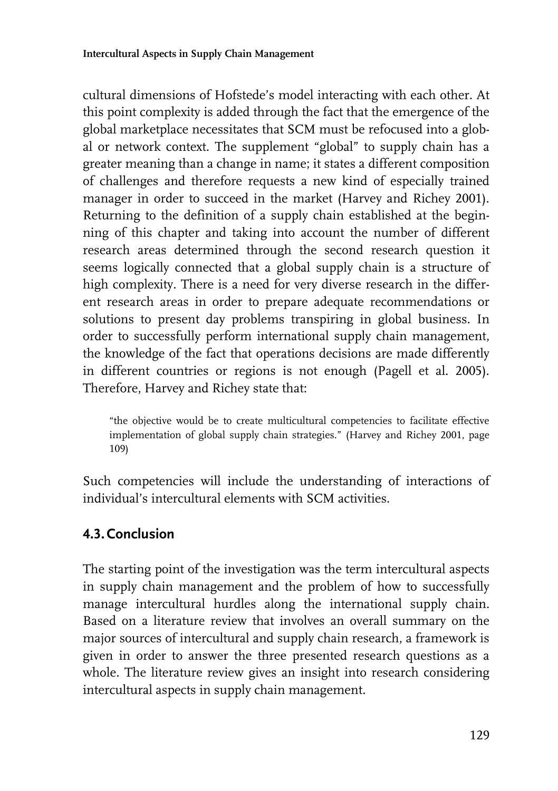cultural dimensions of Hofstede's model interacting with each other. At this point complexity is added through the fact that the emergence of the global marketplace necessitates that SCM must be refocused into a global or network context. The supplement "global" to supply chain has a greater meaning than a change in name; it states a different composition of challenges and therefore requests a new kind of especially trained manager in order to succeed in the market (Harvey and Richey 2001). Returning to the definition of a supply chain established at the beginning of this chapter and taking into account the number of different research areas determined through the second research question it seems logically connected that a global supply chain is a structure of high complexity. There is a need for very diverse research in the different research areas in order to prepare adequate recommendations or solutions to present day problems transpiring in global business. In order to successfully perform international supply chain management, the knowledge of the fact that operations decisions are made differently in different countries or regions is not enough (Pagell et al. 2005). Therefore, Harvey and Richey state that:

"the objective would be to create multicultural competencies to facilitate effective implementation of global supply chain strategies." (Harvey and Richey 2001, page 109)

Such competencies will include the understanding of interactions of individual's intercultural elements with SCM activities.

#### **4.3.Conclusion**

The starting point of the investigation was the term intercultural aspects in supply chain management and the problem of how to successfully manage intercultural hurdles along the international supply chain. Based on a literature review that involves an overall summary on the major sources of intercultural and supply chain research, a framework is given in order to answer the three presented research questions as a whole. The literature review gives an insight into research considering intercultural aspects in supply chain management.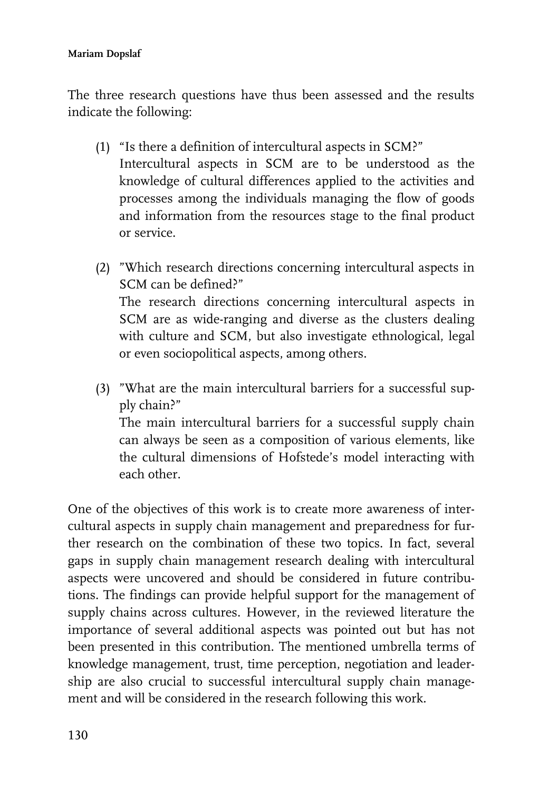#### **Mariam Dopslaf**

The three research questions have thus been assessed and the results indicate the following:

- (1) "Is there a definition of intercultural aspects in SCM?" Intercultural aspects in SCM are to be understood as the knowledge of cultural differences applied to the activities and processes among the individuals managing the flow of goods and information from the resources stage to the final product or service.
- (2) "Which research directions concerning intercultural aspects in SCM can be defined?" The research directions concerning intercultural aspects in SCM are as wide-ranging and diverse as the clusters dealing with culture and SCM, but also investigate ethnological, legal or even sociopolitical aspects, among others.
- (3) "What are the main intercultural barriers for a successful supply chain?" The main intercultural barriers for a successful supply chain can always be seen as a composition of various elements, like the cultural dimensions of Hofstede's model interacting with each other.

One of the objectives of this work is to create more awareness of intercultural aspects in supply chain management and preparedness for further research on the combination of these two topics. In fact, several gaps in supply chain management research dealing with intercultural aspects were uncovered and should be considered in future contributions. The findings can provide helpful support for the management of supply chains across cultures. However, in the reviewed literature the importance of several additional aspects was pointed out but has not been presented in this contribution. The mentioned umbrella terms of knowledge management, trust, time perception, negotiation and leadership are also crucial to successful intercultural supply chain management and will be considered in the research following this work.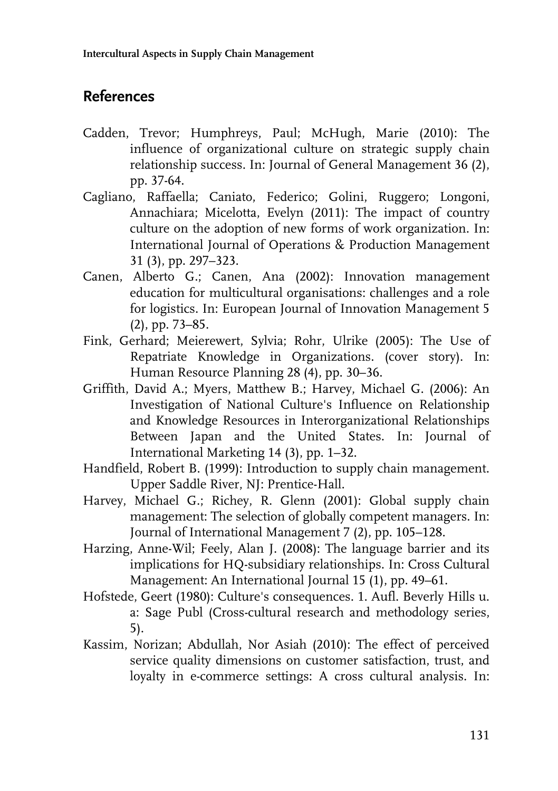## **References**

- Cadden, Trevor; Humphreys, Paul; McHugh, Marie (2010): The influence of organizational culture on strategic supply chain relationship success. In: Journal of General Management 36 (2), pp. 37-64.
- Cagliano, Raffaella; Caniato, Federico; Golini, Ruggero; Longoni, Annachiara; Micelotta, Evelyn (2011): The impact of country culture on the adoption of new forms of work organization. In: International Journal of Operations & Production Management 31 (3), pp. 297–323.
- Canen, Alberto G.; Canen, Ana (2002): Innovation management education for multicultural organisations: challenges and a role for logistics. In: European Journal of Innovation Management 5 (2), pp. 73–85.
- Fink, Gerhard; Meierewert, Sylvia; Rohr, Ulrike (2005): The Use of Repatriate Knowledge in Organizations. (cover story). In: Human Resource Planning 28 (4), pp. 30–36.
- Griffith, David A.; Myers, Matthew B.; Harvey, Michael G. (2006): An Investigation of National Culture's Influence on Relationship and Knowledge Resources in Interorganizational Relationships Between Japan and the United States. In: Journal of International Marketing 14 (3), pp. 1–32.
- Handfield, Robert B. (1999): Introduction to supply chain management. Upper Saddle River, NJ: Prentice-Hall.
- Harvey, Michael G.; Richey, R. Glenn (2001): Global supply chain management: The selection of globally competent managers. In: Journal of International Management 7 (2), pp. 105–128.
- Harzing, Anne-Wil; Feely, Alan J. (2008): The language barrier and its implications for HQ-subsidiary relationships. In: Cross Cultural Management: An International Journal 15 (1), pp. 49–61.
- Hofstede, Geert (1980): Culture's consequences. 1. Aufl. Beverly Hills u. a: Sage Publ (Cross-cultural research and methodology series, 5).
- Kassim, Norizan; Abdullah, Nor Asiah (2010): The effect of perceived service quality dimensions on customer satisfaction, trust, and loyalty in e-commerce settings: A cross cultural analysis. In: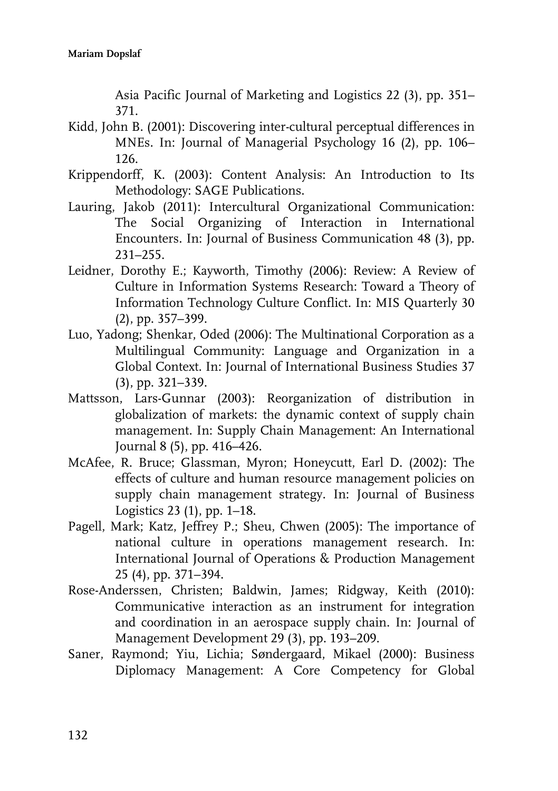Asia Pacific Journal of Marketing and Logistics 22 (3), pp. 351– 371.

- Kidd, John B. (2001): Discovering inter-cultural perceptual differences in MNEs. In: Journal of Managerial Psychology 16 (2), pp. 106– 126.
- Krippendorff, K. (2003): Content Analysis: An Introduction to Its Methodology: SAGE Publications.
- Lauring, Jakob (2011): Intercultural Organizational Communication: The Social Organizing of Interaction in International Encounters. In: Journal of Business Communication 48 (3), pp. 231–255.
- Leidner, Dorothy E.; Kayworth, Timothy (2006): Review: A Review of Culture in Information Systems Research: Toward a Theory of Information Technology Culture Conflict. In: MIS Quarterly 30 (2), pp. 357–399.
- Luo, Yadong; Shenkar, Oded (2006): The Multinational Corporation as a Multilingual Community: Language and Organization in a Global Context. In: Journal of International Business Studies 37 (3), pp. 321–339.
- Mattsson, Lars-Gunnar (2003): Reorganization of distribution in globalization of markets: the dynamic context of supply chain management. In: Supply Chain Management: An International Journal 8 (5), pp. 416–426.
- McAfee, R. Bruce; Glassman, Myron; Honeycutt, Earl D. (2002): The effects of culture and human resource management policies on supply chain management strategy. In: Journal of Business Logistics 23 (1), pp. 1–18.
- Pagell, Mark; Katz, Jeffrey P.; Sheu, Chwen (2005): The importance of national culture in operations management research. In: International Journal of Operations & Production Management 25 (4), pp. 371–394.
- Rose-Anderssen, Christen; Baldwin, James; Ridgway, Keith (2010): Communicative interaction as an instrument for integration and coordination in an aerospace supply chain. In: Journal of Management Development 29 (3), pp. 193–209.
- Saner, Raymond; Yiu, Lichia; Søndergaard, Mikael (2000): Business Diplomacy Management: A Core Competency for Global